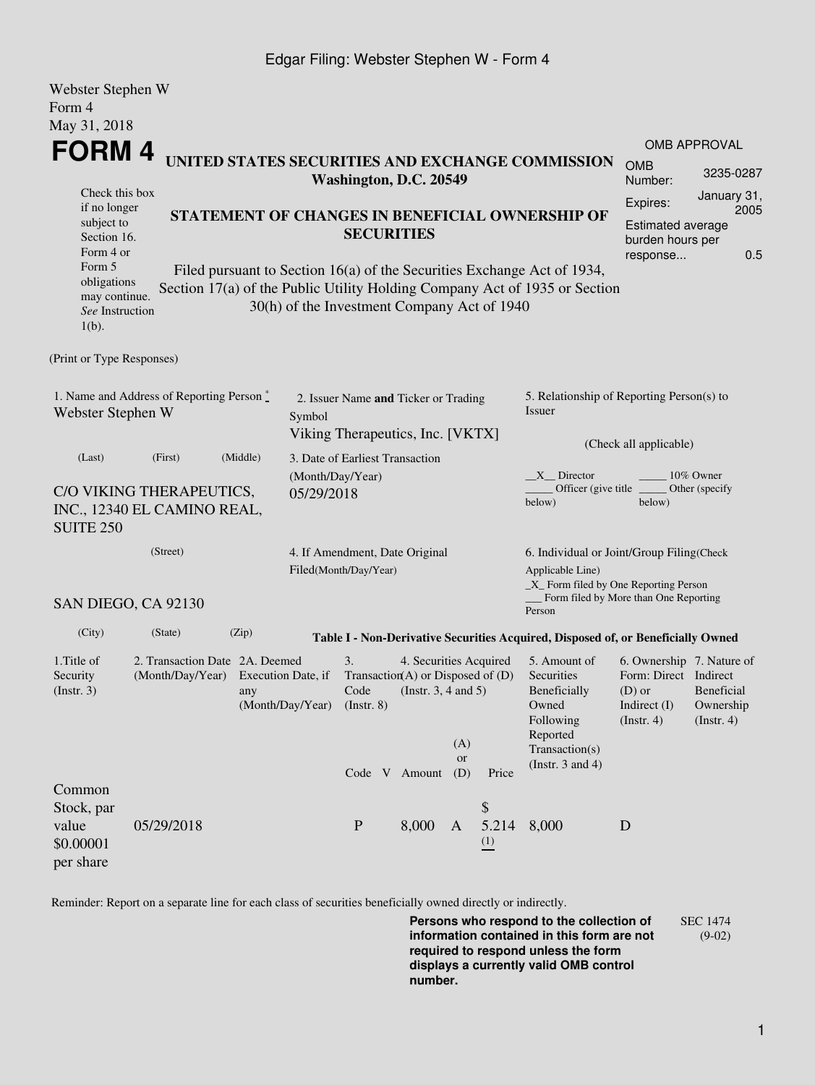## Edgar Filing: Webster Stephen W - Form 4

| Webster Stephen W                                                                  |                                                                                                                                                 |          |                                                                                    |                                 |                                                                                           |                  |                                                                                             |                                                                                                       |                                                                                                                                |                                              |  |
|------------------------------------------------------------------------------------|-------------------------------------------------------------------------------------------------------------------------------------------------|----------|------------------------------------------------------------------------------------|---------------------------------|-------------------------------------------------------------------------------------------|------------------|---------------------------------------------------------------------------------------------|-------------------------------------------------------------------------------------------------------|--------------------------------------------------------------------------------------------------------------------------------|----------------------------------------------|--|
| Form 4                                                                             |                                                                                                                                                 |          |                                                                                    |                                 |                                                                                           |                  |                                                                                             |                                                                                                       |                                                                                                                                |                                              |  |
| May 31, 2018                                                                       |                                                                                                                                                 |          |                                                                                    |                                 |                                                                                           |                  |                                                                                             |                                                                                                       |                                                                                                                                |                                              |  |
| FORM 4                                                                             |                                                                                                                                                 |          |                                                                                    |                                 |                                                                                           |                  |                                                                                             |                                                                                                       |                                                                                                                                | <b>OMB APPROVAL</b>                          |  |
|                                                                                    | UNITED STATES SECURITIES AND EXCHANGE COMMISSION<br>Washington, D.C. 20549                                                                      |          |                                                                                    |                                 |                                                                                           |                  |                                                                                             | <b>OMB</b><br>Number:                                                                                 | 3235-0287                                                                                                                      |                                              |  |
| Check this box<br>if no longer<br>subject to<br>Section 16.<br>Form 4 or<br>Form 5 | STATEMENT OF CHANGES IN BENEFICIAL OWNERSHIP OF<br><b>SECURITIES</b><br>Filed pursuant to Section 16(a) of the Securities Exchange Act of 1934, |          |                                                                                    |                                 |                                                                                           |                  | January 31,<br>Expires:<br>2005<br>Estimated average<br>burden hours per<br>0.5<br>response |                                                                                                       |                                                                                                                                |                                              |  |
| obligations<br>may continue.<br>See Instruction<br>$1(b)$ .                        |                                                                                                                                                 |          | 30(h) of the Investment Company Act of 1940                                        |                                 |                                                                                           |                  |                                                                                             | Section 17(a) of the Public Utility Holding Company Act of 1935 or Section                            |                                                                                                                                |                                              |  |
| (Print or Type Responses)                                                          |                                                                                                                                                 |          |                                                                                    |                                 |                                                                                           |                  |                                                                                             |                                                                                                       |                                                                                                                                |                                              |  |
| 1. Name and Address of Reporting Person *<br>Webster Stephen W                     |                                                                                                                                                 |          | 2. Issuer Name and Ticker or Trading<br>Symbol<br>Viking Therapeutics, Inc. [VKTX] |                                 |                                                                                           |                  |                                                                                             | 5. Relationship of Reporting Person(s) to<br>Issuer                                                   |                                                                                                                                |                                              |  |
| (Last)                                                                             | (First)                                                                                                                                         | (Middle) |                                                                                    | 3. Date of Earliest Transaction |                                                                                           |                  |                                                                                             |                                                                                                       | (Check all applicable)                                                                                                         |                                              |  |
| <b>SUITE 250</b>                                                                   | C/O VIKING THERAPEUTICS,<br>INC., 12340 EL CAMINO REAL,                                                                                         |          | (Month/Day/Year)<br>05/29/2018                                                     |                                 |                                                                                           |                  |                                                                                             | $X$ Director<br>Officer (give title)<br>below)                                                        | below)                                                                                                                         | 10% Owner<br>Other (specify                  |  |
| (Street)                                                                           |                                                                                                                                                 |          | 4. If Amendment, Date Original<br>Filed(Month/Day/Year)<br>Applicable Line)        |                                 |                                                                                           |                  |                                                                                             |                                                                                                       | 6. Individual or Joint/Group Filing(Check<br>$\_X$ Form filed by One Reporting Person<br>Form filed by More than One Reporting |                                              |  |
|                                                                                    | SAN DIEGO, CA 92130                                                                                                                             |          |                                                                                    |                                 |                                                                                           |                  |                                                                                             | Person                                                                                                |                                                                                                                                |                                              |  |
| (City)                                                                             | (State)                                                                                                                                         | (Zip)    |                                                                                    |                                 |                                                                                           |                  |                                                                                             | Table I - Non-Derivative Securities Acquired, Disposed of, or Beneficially Owned                      |                                                                                                                                |                                              |  |
| 1. Title of<br>Security<br>$($ Instr. 3 $)$                                        | 2. Transaction Date 2A. Deemed<br>(Month/Day/Year)                                                                                              | any      | Execution Date, if<br>(Month/Day/Year)                                             | 3.<br>Code<br>$($ Instr. 8 $)$  | 4. Securities Acquired<br>Transaction(A) or Disposed of $(D)$<br>(Instr. $3, 4$ and $5$ ) | (A)              |                                                                                             | 5. Amount of<br>Securities<br><b>Beneficially</b><br>Owned<br>Following<br>Reported<br>Transaction(s) | 6. Ownership 7. Nature of<br>Form: Direct Indirect<br>$(D)$ or<br>Indirect (I)<br>$($ Instr. 4 $)$                             | <b>Beneficial</b><br>Ownership<br>(Instr. 4) |  |
|                                                                                    |                                                                                                                                                 |          |                                                                                    |                                 | Code V Amount                                                                             | <b>or</b><br>(D) | Price                                                                                       | (Instr. $3$ and $4$ )                                                                                 |                                                                                                                                |                                              |  |
| Common<br>Stock, par<br>value<br>\$0.00001<br>per share                            | 05/29/2018                                                                                                                                      |          |                                                                                    | $\mathbf{P}$                    | 8,000                                                                                     | $\mathbf{A}$     | \$<br>5.214<br>(1)                                                                          | 8,000                                                                                                 | D                                                                                                                              |                                              |  |

Reminder: Report on a separate line for each class of securities beneficially owned directly or indirectly.

**Persons who respond to the collection of information contained in this form are not required to respond unless the form displays a currently valid OMB control number.** SEC 1474 (9-02)